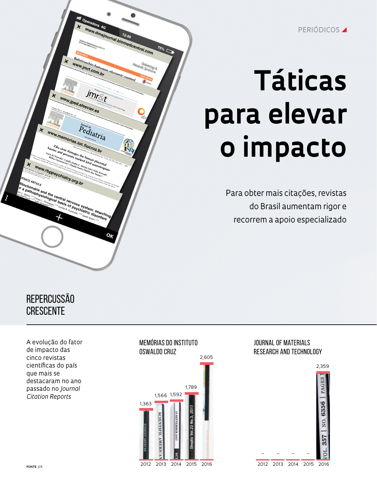PERIÓDICOS **4** 

# **Táticas para elevar o impacto**

Para obter mais citações, revistas do Brasil aumentam rigor e recorrem a apoio especializado



## REPERCUSSÃO crescente between mitochondrial dysfunction and psychiatric dis-orders, with <sup>a</sup> particular focus on depression, bipolar disorder (BD), anxiety disorders, obsessive-compulsive disorder, and autism spectrum disorders. More than <sup>a</sup> power station It is generally assumed that the mitochondrion is the **EPERCUSSÃO<br>RESCENTE** energy-providing organelle of the cell, but it processes several other compounds as well.<sup>7</sup> Neurotransmitters and

 factorscontrol

A evolução do fator de impacto das cinco revistas científicas do país que mais se destacaram no ano passado no *Journal Citation Reports*



## Journal of Materials Research and Technology

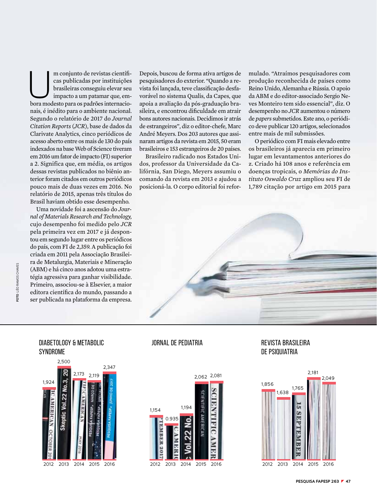m conjunto de revistas científicas<br>
cas publicadas por instituições<br>
brasileiras conseguiu elevar seu<br>
impacto a um patamar que, emcas publicadas por instituições brasileiras conseguiu elevar seu impacto a um patamar que, embora modesto para os padrões internacionais, é inédito para o ambiente nacional. Segundo o relatório de 2017 do *Journal Citation Reports* (*JCR*), base de dados da Clarivate Analytics, cinco periódicos de acesso aberto entre os mais de 130 do país indexados na base Web of Science tiveram em 2016 um fator de impacto (FI) superior a 2. Significa que, em média, os artigos dessas revistas publicados no biênio anterior foram citados em outros periódicos pouco mais de duas vezes em 2016. No relatório de 2015, apenas três títulos do Brasil haviam obtido esse desempenho.

Uma novidade foi a ascensão do *Journal of Materials Research and Technology,*  cujo desempenho foi medido pelo *JCR* pela primeira vez em 2017 e já despontou em segundo lugar entre os periódicos do país, com FI de 2,359. A publicação foi criada em 2011 pela Associação Brasileira de Metalurgia, Materiais e Mineração (ABM) e há cinco anos adotou uma estratégia agressiva para ganhar visibilidade. Primeiro, associou-se à Elsevier, a maior editora científica do mundo, passando a ser publicada na plataforma da empresa.<br>
Figure 2.1 and 2.1 and 2.1 and 2.1 and 2.1 and 2.1 and 2.1 and 2.1 and 2.1 and 2.1 and 2.1 and 2.1 and 2.1 and 2.1 and 2.1 and 2.1 and 2.1 and 2.1 and 2.1 and 2.1 and 2.1 and 2.1 an

Depois, buscou de forma ativa artigos de pesquisadores do exterior. "Quando a revista foi lançada, teve classificação desfavorável no sistema Qualis, da Capes, que apoia a avaliação da pós-graduação brasileira, e encontrou dificuldade em atrair bons autores nacionais. Decidimos ir atrás de estrangeiros", diz o editor-chefe, Marc André Meyers. Dos 203 autores que assinaram artigos da revista em 2015, 50 eram brasileiros e 153 estrangeiros de 20 países.

Brasileiro radicado nos Estados Unidos, professor da Universidade da Califórnia, San Diego, Meyers assumiu o comando da revista em 2013 e ajudou a posicioná-la. O corpo editorial foi reformulado. "Atraímos pesquisadores com produção reconhecida de países como Reino Unido, Alemanha e Rússia. O apoio da ABM e do editor-associado Sergio Neves Monteiro tem sido essencial", diz. O desempenho no *JCR* aumentou o número de *papers* submetidos. Este ano, o periódico deve publicar 120 artigos, selecionados entre mais de mil submissões.

O periódico com FI mais elevado entre os brasileiros já aparecia em primeiro lugar em levantamentos anteriores do z. Criado há 108 anos e referência em doenças tropicais, o *Memórias do Instituto Oswaldo Cruz* ampliou seu FI de 1,789 citação por artigo em 2015 para



## Diabetology & Metabolic **SYNDROME**





## Jornal de Pediatria Revista Brasileira de Psiquiatria

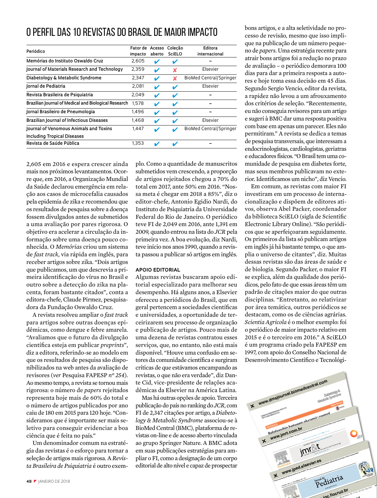## O perfil das 10 revistas do Brasil de maior impacto

| Periódico                                            | Fator de<br>impacto | Acesso<br>aberto | Colecão<br>SciELO | Editora<br>internacional |
|------------------------------------------------------|---------------------|------------------|-------------------|--------------------------|
| Memórias do Instituto Oswaldo Cruz                   | 2,605               | v                | v                 |                          |
| Journal of Materials Research and Technology         | 2,359               | ✔                | x                 | Elsevier                 |
| Diabetology & Metabolic Syndrome                     | 2,347               | ✔                |                   | BioMed Central/Springer  |
| Jornal de Pediatria                                  | 2,081               | ✔                | ✔                 | Elsevier                 |
| Revista Brasileira de Psiquiatria                    | 2,049               | v                | V                 |                          |
| Brazilian Journal of Medical and Biological Research | 1.578               | v                | V                 |                          |
| Jornal Brasileiro de Pneumologia                     | 1,496               | v                | ✔                 |                          |
| <b>Brazilian Journal of Infectious Diseases</b>      | 1,468               | v                | v                 | Elsevier                 |
| Journal of Venomous Animals and Toxins               | 1,447               | v                |                   | BioMed Central/Springer  |
| <b>Including Tropical Diseases</b>                   |                     |                  |                   |                          |
| Revista de Saúde Pública                             | 1,353               | v                | ✔                 |                          |
|                                                      |                     |                  |                   |                          |

2,605 em 2016 e espera crescer ainda mais nos próximos levantamentos. Ocorre que, em 2016, a Organização Mundial da Saúde declarou emergência em relação aos casos de microcefalia causados pela epidemia de zika e recomendou que os resultados de pesquisa sobre a doença fossem divulgados antes de submetidos a uma avaliação por pares rigorosa. O objetivo era acelerar a circulação da informação sobre uma doença pouco conhecida. O *Memórias* criou um sistema de *fast track*, via rápida em inglês, para receber artigos sobre zika. "Dois artigos que publicamos, um que descrevia a primeira identificação do vírus no Brasil e outro sobre a detecção do zika na placenta, foram bastante citados", conta a editora-chefe, Claude Pirmez, pesquisadora da Fundação Oswaldo Cruz.

A revista resolveu ampliar o *fast track* para artigos sobre outras doenças epidêmicas, como dengue e febre amarela. "Avaliamos que o futuro da divulgação científica esteja em publicar *preprints*", diz a editora, referindo-se ao modelo em que os resultados de pesquisa são disponibilizados na web antes da avaliação de revisores (*ver* Pesquisa FAPESP *nº 254*). Ao mesmo tempo, a revista se tornou mais rigorosa: o número de *papers* rejeitados representa hoje mais de 60% do total e o número de artigos publicados por ano caiu de 180 em 2015 para 120 hoje. "Consideramos que é importante ser mais seletivo para conseguir evidenciar a boa ciência que é feita no país."

Um denominador comum na estratégia das revistas é o esforço para tornar a seleção de artigos mais rigorosa. A *Revista Brasileira de Psiquiatria* é outro exemplo. Como a quantidade de manuscritos submetidos vem crescendo, a proporção de artigos rejeitados chegou a 70% do total em 2017, ante 50% em 2016. "Nossa meta é chegar em 2018 a 85%", diz o editor-chefe, Antonio Egidio Nardi, do Instituto de Psiquiatria da Universidade Federal do Rio de Janeiro. O periódico teve FI de 2,049 em 2016, ante 1,391 em 2009, quando entrou na lista do *JCR* pela primeira vez. A boa evolução, diz Nardi, teve início nos anos 1990, quando a revista passou a publicar só artigos em inglês.

## **apoio editorial**

Algumas revistas buscaram apoio editorial especializado para melhorar seu desempenho. Há alguns anos, a Elsevier ofereceu a periódicos do Brasil, que em geral pertencem a sociedades científicas e universidades, a oportunidade de terceirizarem seu processo de organização e publicação de artigos. Pouco mais de uma dezena de revistas contratou esses serviços, que, no entanto, não está mais disponível. "Houve uma confusão em setores da comunidade científica e surgiram críticas de que estávamos encampando as revistas, o que não era verdade", diz Dante Cid, vice-presidente de relações acadêmicas da Elsevier na América Latina.

Mas há outras opções de apoio. Terceira publicação do país no ranking do *JCR*, com FI de 2,347 citações por artigo, a *Diabetology & Metabolic Syndrome* associou-se à BioMed Central (BMC), plataforma de revistas on-line e de acesso aberto vinculada ao grupo Springer Nature. A BMC adota em suas publicações estratégias para ampliar o FI, como a designação de um corpo editorial de alto nível e capaz de prospectar

bons artigos, e a alta seletividade no processo de revisão, mesmo que isso implique na publicação de um número pequeno de *papers*. Uma estratégia recente para atrair bons artigos foi a redução no prazo de avaliação – o periódico demorava 100 dias para dar a primeira resposta a autores e hoje toma essa decisão em 45 dias. Segundo Sergio Vencio, editor da revista, a rapidez não levou a um afrouxamento dos critérios de seleção. "Recentemente, eu não conseguia revisores para um artigo e sugeri à BMC dar uma resposta positiva com base em apenas um parecer. Eles não permitiram." A revista se dedica a temas de pesquisa transversais, que interessam a endocrinologistas, cardiologistas, geriatras e educadores físicos. "O Brasil tem uma comunidade de pesquisa em diabetes forte, mas seus membros publicavam no exterior. Identificamos um nicho", diz Vencio.

Em comum, as revistas com maior FI investiram em um processo de internacionalização e dispõem de editores ativos, observa Abel Packer, coordenador da biblioteca SciELO (sigla de Scientific Electronic Library Online). "São periódicos que se aperfeiçoaram seguidamente. Os primeiros da lista só publicam artigos em inglês já há bastante tempo, o que amplia o universo de citantes", diz. Muitas dessas revistas são das áreas de saúde e de biologia. Segundo Packer, o maior FI se explica, além da qualidade dos periódicos, pelo fato de que essas áreas têm um padrão de citações maior do que outras disciplinas. "Entretanto, ao relativizar por área temática, outros periódicos se destacam, como os de ciências agrárias. *Scientia Agricola* é o melhor exemplo: foi o periódico de maior impacto relativo em 2015 e é o terceiro em 2016." A SciELO é um programa criado pela FAPESP em 1997, com apoio do Conselho Nacional de Desenvolvimento Científico e Tecnológi-